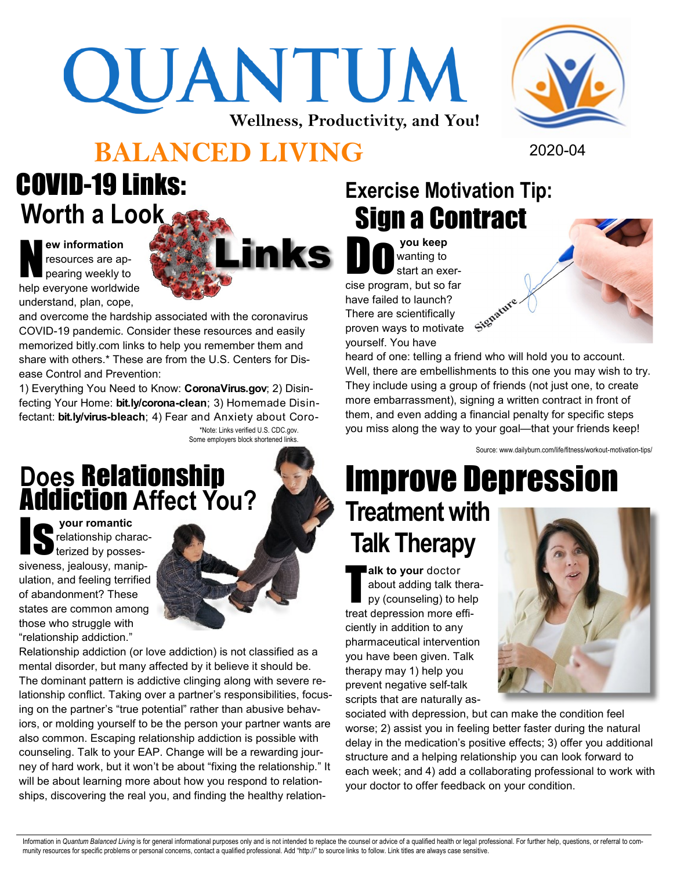# QUANTUM **Wellness, Productivity, and You!**

#### **BALANCED LIVING** 2020-04

### COVID-19 Links: **Worth a Look**

N **ew information**  resources are appearing weekly to help everyone worldwide understand, plan, cope,

and overcome the hardship associated with the coronavirus COVID-19 pandemic. Consider these resources and easily memorized bitly.com links to help you remember them and share with others.\* These are from the U.S. Centers for Disease Control and Prevention:

1) Everything You Need to Know: **CoronaVirus.gov**; 2) Disinfecting Your Home: **bit.ly/corona-clean**; 3) Homemade Disinfectant: **bit.ly/virus-bleach**; 4) Fear and Anxiety about Coro-\*Note: Links verified U.S. CDC.gov. Some employers block shortened links.

#### **Does** Relationship Addiction **Affect You?**

Is **your romantic**  relationship characterized by possessiveness, jealousy, manipulation, and feeling terrified of abandonment? These states are common among those who struggle with "relationship addiction."

Relationship addiction (or love addiction) is not classified as a mental disorder, but many affected by it believe it should be. The dominant pattern is addictive clinging along with severe relationship conflict. Taking over a partner's responsibilities, focusing on the partner's "true potential" rather than abusive behaviors, or molding yourself to be the person your partner wants are also common. Escaping relationship addiction is possible with counseling. Talk to your EAP. Change will be a rewarding journey of hard work, but it won't be about "fixing the relationship." It will be about learning more about how you respond to relationships, discovering the real you, and finding the healthy relation-

#### **Exercise Motivation Tip:** Sign a Contract

inks Do **you keep** wanting to start an exercise program, but so far Signature. have failed to launch? There are scientifically proven ways to motivate yourself. You have

> heard of one: telling a friend who will hold you to account. Well, there are embellishments to this one you may wish to try. They include using a group of friends (not just one, to create more embarrassment), signing a written contract in front of them, and even adding a financial penalty for specific steps you miss along the way to your goal—that your friends keep!

> > Source: www.dailyburn.com/life/fitness/workout-motivation-tips/

## Improve Depression **Treatment with Talk Therapy**

T **alk to your** doctor about adding talk therapy (counseling) to help treat depression more efficiently in addition to any pharmaceutical intervention you have been given. Talk therapy may 1) help you prevent negative self-talk scripts that are naturally as-

sociated with depression, but can make the condition feel worse; 2) assist you in feeling better faster during the natural delay in the medication's positive effects; 3) offer you additional structure and a helping relationship you can look forward to each week; and 4) add a collaborating professional to work with your doctor to offer feedback on your condition.